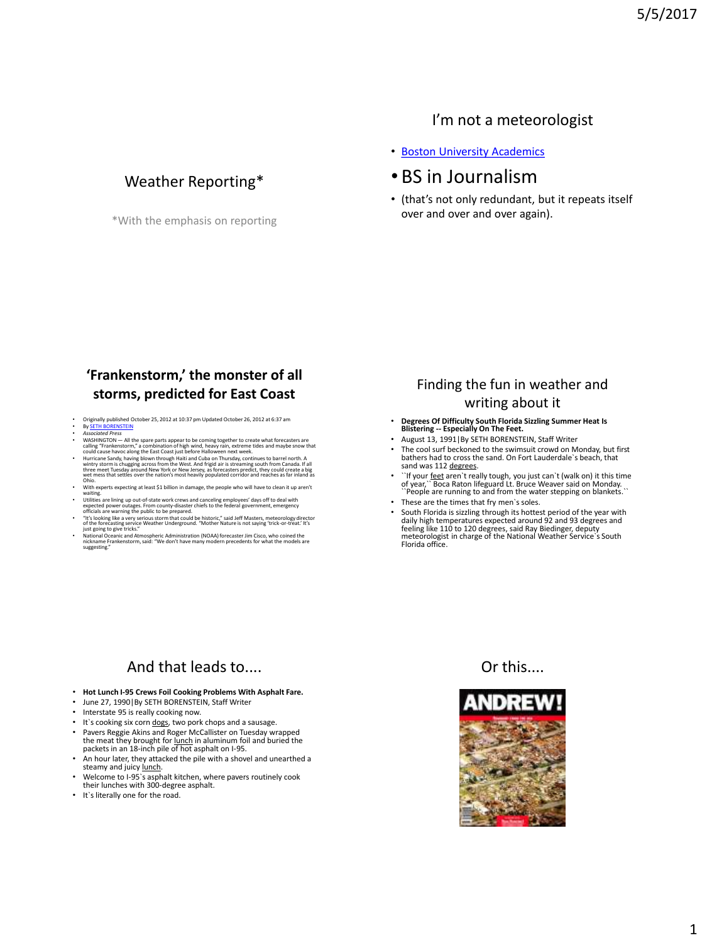#### I'm not a meteorologist

## Weather Reporting\*

\*With the emphasis on reporting

#### • [Boston University Academics](http://www.bu.edu/)

### • BS in Journalism

• (that's not only redundant, but it repeats itself over and over and over again).

#### **'Frankenstorm,' the monster of all storms, predicted for East Coast**

- Originally published October 25, 2012 at 10:37 pm Updated October 26, 2012 at 6:37 am<br>By SETH BORENSTEIN
- 
- 
- **by SETH BORENTSEIN**<br>A societive *Press*<br>WASHINGTON All the spare parts appear to be coming together to create what forecasters are<br>WASHINGTON All the spare parts appear to be coming together to create what forecasters
- With experts expecting at least \$1 billion in damage, the people who will have to clean it up aren't waiting. Utilities are lining up out-of-state work crews and canceling employees' days off to deal with
- expected power outages. From county-disaster chiefs to the federal government, emergency<br>officials are warning the public to be prepared.<br>Tit's looking like a very serious storm that could be historic," said Jeff Masters,
- 
- National Oceanic and Atmospheric Administration (NOAA) forecaster Jim Cisco, who coined the nickname Frankenstorm, said: "We don't have many modern precedents for what the models are suggesting."

### Finding the fun in weather and writing about it

- **Degrees Of Difficulty South Florida Sizzling Summer Heat Is Blistering -- Especially On The Feet.**
- August 13, 1991|By SETH BORENSTEIN, Staff Writer
- The cool surf beckoned to the swimsuit crowd on Monday, but first bathers had to cross the sand. On Fort Lauderdale`s beach, that sand was 112 degrees.
- ``If your <u>feet</u> aren`t really tough, you just can`t (walk on) it this time<br>of year,`` Boca Raton lifeguard Lt. Bruce Weaver said on Monday.<br>`` People are running to and from the water stepping on blankets.``
- These are the times that fry men`s soles.
- South Florida is sizzling through its hottest period of the year with daily high temperatures expected around 92 and 93 degrees and feeling like 110 to 120 degrees, said Ray Biedinger, deputy meteorologist in charge of the National Weather Service`s South Florida office.

### And that leads to....

- **Hot Lunch I-95 Crews Foil Cooking Problems With Asphalt Fare.**
- June 27, 1990|By SETH BORENSTEIN, Staff Writer
- Interstate 95 is really cooking now.
- It's cooking six corn dogs, two pork chops and a sausage.
- Pavers Reggie Akins and Roger McCallister on Tuesday wrapped the meat they brought for <u>lunch</u> in aluminum foil and buried the<br>packets in an 18-inch pile of hot asphalt on I-95.
- An hour later, they attacked the pile with a shovel and unearthed a steamy and juicy lunch.
- Welcome to I-95`s asphalt kitchen, where pavers routinely cook their lunches with 300-degree asphalt.
- It`s literally one for the road.



Or this....